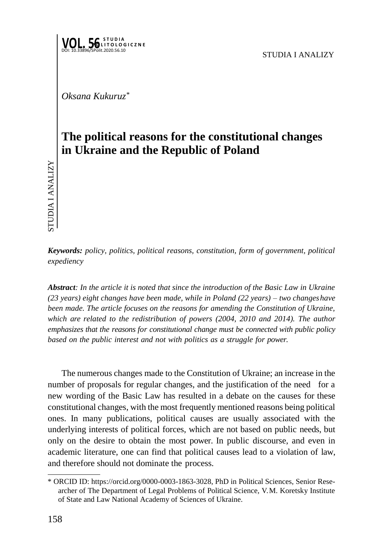

*Oksana Kukuruz\**

## **The political reasons for the constitutional changes in Ukraine and the Republic of Poland**

*Keywords: policy, politics, political reasons, constitution, form of government, political expediency*

*Abstract: In the article it is noted that since the introduction of the Basic Law in Ukraine (23 years) eight changes have been made, while in Poland (22 years) – two changeshave been made. The article focuses on the reasons for amending the Constitution of Ukraine,*  which are related to the redistribution of powers (2004, 2010 and 2014). The author *emphasizes that the reasons for constitutional change must be connected with public policy based on the public interest and not with politics as a struggle for power.*

The numerous changes made to the Constitution of Ukraine; an increase in the number of proposals for regular changes, and the justification of the need for a new wording of the Basic Law has resulted in a debate on the causes for these constitutional changes, with the most frequently mentioned reasons being political ones. In many publications, political causes are usually associated with the underlying interests of political forces, which are not based on public needs, but only on the desire to obtain the most power. In public discourse, and even in academic literature, one can find that political causes lead to a violation of law, and therefore should not dominate the process.  $\sum_{i=1}^{n}$   $\sum_{i=1}^{n}$   $\sum_{i=1}^{n}$   $\sum_{i=1}^{n}$   $\sum_{i=1}^{n}$   $\sum_{i=1}^{n}$   $\sum_{i=1}^{n}$   $\sum_{i=1}^{n}$   $\sum_{i=1}^{n}$   $\sum_{i=1}^{n}$   $\sum_{i=1}^{n}$   $\sum_{i=1}^{n}$   $\sum_{i=1}^{n}$   $\sum_{i=1}^{n}$   $\sum_{i=1}^{n}$   $\sum_{i=1}^{n}$   $\sum_{i=1}^{n}$ 

<sup>\*</sup> ORCID ID: https://orcid.org/0000-0003-1863-3028, PhD in Political Sciences, Senior Researcher of The Department of Legal Problems of Political Science, V. M. Koretsky Institute of State and Law National Academy of Sciences of Ukraine.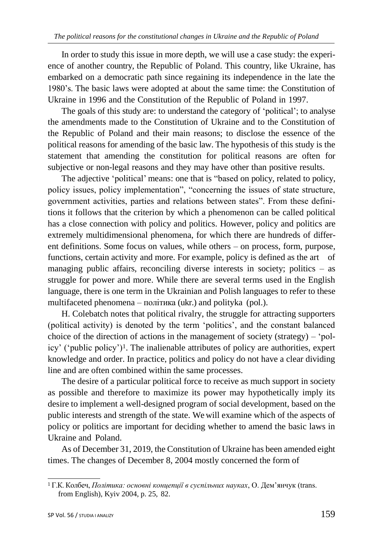In order to study this issue in more depth, we will use a case study: the experience of another country, the Republic of Poland. This country, like Ukraine, has embarked on a democratic path since regaining its independence in the late the 1980's. The basic laws were adopted at about the same time: the Constitution of Ukraine in 1996 and the Constitution of the Republic of Poland in 1997.

The goals of this study are: to understand the category of 'political'; to analyse the amendments made to the Constitution of Ukraine and to the Constitution of the Republic of Poland and their main reasons; to disclose the essence of the political reasons for amending of the basic law. The hypothesis of this study is the statement that amending the constitution for political reasons are often for subjective or non-legal reasons and they may have other than positive results.

The adjective 'political' means: one that is "based on policy, related to policy, policy issues, policy implementation", "concerning the issues of state structure, government activities, parties and relations between states". From these definitions it follows that the criterion by which a phenomenon can be called political has a close connection with policy and politics. However, policy and politics are extremely multidimensional phenomena, for which there are hundreds of different definitions. Some focus on values, while others – on process, form, purpose, functions, certain activity and more. For example, policy is defined as the art of managing public affairs, reconciling diverse interests in society; politics – as struggle for power and more. While there are several terms used in the English language, there is one term in the Ukrainian and Polish languages to refer to these multifaceted phenomena – політика (ukr.) and polityka (pol.).

H. Colebatch notes that political rivalry, the struggle for attracting supporters (political activity) is denoted by the term 'politics', and the constant balanced choice of the direction of actions in the management of society (strategy) – 'policy' ('public policy')1. The inalienable attributes of policy are authorities, expert knowledge and order. In practice, politics and policy do not have a clear dividing line and are often combined within the same processes.

The desire of a particular political force to receive as much support in society as possible and therefore to maximize its power may hypothetically imply its desire to implement a well-designed program of social development, based on the public interests and strength of the state. We will examine which of the aspects of policy or politics are important for deciding whether to amend the basic laws in Ukraine and Poland.

As of December 31, 2019, the Constitution of Ukraine has been amended eight times. The changes of December 8, 2004 mostly concerned the form of

<sup>1</sup>Г.К. Колбеч, *Політика: основні концепції в суспільних науках*, О. Дем'янчук (trans. from English), Kyiv 2004, p. 25, 82.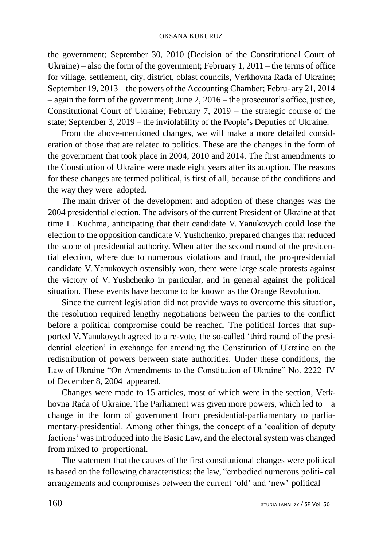the government; September 30, 2010 (Decision of the Constitutional Court of Ukraine) – also the form of the government; February 1, 2011 – the terms of office for village, settlement, city, district, oblast councils, Verkhovna Rada of Ukraine; September 19, 2013 – the powers of the Accounting Chamber; Febru- ary 21, 2014 – again the form of the government; June 2, 2016 – the prosecutor's office, justice, Constitutional Court of Ukraine; February 7, 2019 – the strategic course of the state; September 3, 2019 – the inviolability of the People's Deputies of Ukraine.

From the above-mentioned changes, we will make a more detailed consideration of those that are related to politics. These are the changes in the form of the government that took place in 2004, 2010 and 2014. The first amendments to the Constitution of Ukraine were made eight years after its adoption. The reasons for these changes are termed political, is first of all, because of the conditions and the way they were adopted.

The main driver of the development and adoption of these changes was the 2004 presidential election. The advisors of the current President of Ukraine at that time L. Kuchma, anticipating that their candidate V. Yanukovych could lose the election to the opposition candidate V.Yushchenko, prepared changes that reduced the scope of presidential authority. When after the second round of the presidential election, where due to numerous violations and fraud, the pro-presidential candidate V. Yanukovych ostensibly won, there were large scale protests against the victory of V. Yushchenko in particular, and in general against the political situation. These events have become to be known as the Orange Revolution.

Since the current legislation did not provide ways to overcome this situation, the resolution required lengthy negotiations between the parties to the conflict before a political compromise could be reached. The political forces that supported V. Yanukovych agreed to a re-vote, the so-called 'third round of the presidential election' in exchange for amending the Constitution of Ukraine on the redistribution of powers between state authorities. Under these conditions, the Law of Ukraine "On Amendments to the Constitution of Ukraine" No. 2222–IV of December 8, 2004 appeared.

Changes were made to 15 articles, most of which were in the section, Verkhovna Rada of Ukraine. The Parliament was given more powers, which led to a change in the form of government from presidential-parliamentary to parliamentary-presidential. Among other things, the concept of a 'coalition of deputy factions' was introduced into the Basic Law, and the electoral system was changed from mixed to proportional.

The statement that the causes of the first constitutional changes were political is based on the following characteristics: the law, "embodied numerous politi- cal arrangements and compromises between the current 'old' and 'new' political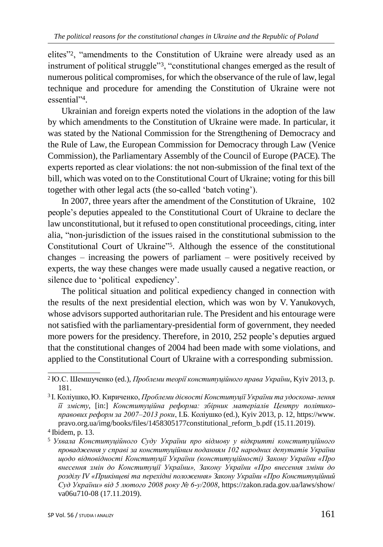elites"2, "amendments to the Constitution of Ukraine were already used as an instrument of political struggle"3, "constitutional changes emerged as the result of numerous political compromises, for which the observance of the rule of law, legal technique and procedure for amending the Constitution of Ukraine were not essential"<sup>4</sup> .

Ukrainian and foreign experts noted the violations in the adoption of the law by which amendments to the Constitution of Ukraine were made. In particular, it was stated by the National Commission for the Strengthening of Democracy and the Rule of Law, the European Commission for Democracy through Law (Venice Commission), the Parliamentary Assembly of the Council of Europe (PACE). The experts reported as clear violations: the not non-submission of the final text of the bill, which was voted on to the Constitutional Court of Ukraine; voting for this bill together with other legal acts (the so-called 'batch voting').

In 2007, three years after the amendment of the Constitution of Ukraine, 102 people's deputies appealed to the Constitutional Court of Ukraine to declare the law unconstitutional, but it refused to open constitutional proceedings, citing, inter alia, "non-jurisdiction of the issues raised in the constitutional submission to the Constitutional Court of Ukraine"5. Although the essence of the constitutional changes – increasing the powers of parliament – were positively received by experts, the way these changes were made usually caused a negative reaction, or silence due to 'political expediency'.

The political situation and political expediency changed in connection with the results of the next presidential election, which was won by V. Yanukovych, whose advisors supported authoritarian rule. The President and his entourage were not satisfied with the parliamentary-presidential form of government, they needed more powers for the presidency. Therefore, in 2010, 252 people's deputies argued that the constitutional changes of 2004 had been made with some violations, and applied to the Constitutional Court of Ukraine with a corresponding submission.

<sup>2</sup>Ю.С. Шемшученко (ed.), *Проблеми теорії конституційного права України*, Kyiv 2013, p. 181.

<sup>3</sup>І. Коліушко, Ю. Кириченко, *Проблеми дієвості Конституції України та удоскона- лення її змісту*, [in:] *Конституційна реформа: збірник матеріалів Центру політикоправових реформ за 2007–2013 роки*, І.Б. Коліушко (ed.), Kyiv 2013, p. 12[, https://www.](http://www/) pravo.org.ua/img/books/files/1458305177constitutional\_reform\_b.pdf (15.11.2019).

<sup>4</sup>Ibidem, p. 13.

<sup>5</sup>*Ухвала Конституційного Суду України про відмову у відкритті конституційного провадження у справі за конституційним поданням 102 народних депутатів України щодо відповідності Конституції України (конституційності) Закону України «Про внесення змін до Конституції України», Закону України «Про внесення зміни до розділу IV «Прикінцеві та перехідні положення» Закону України «Про Конституційний Суд України» від 5 лютого 2008 року № 6-у/2008*, https://zakon.rada.gov.ua/laws/show/ va06u710-08 (17.11.2019).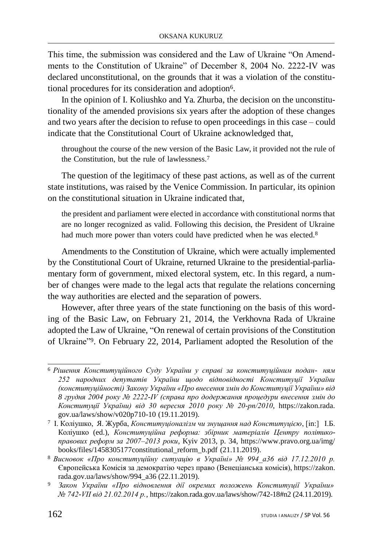This time, the submission was considered and the Law of Ukraine "On Amendments to the Constitution of Ukraine" of December 8, 2004 No. 2222-IV was declared unconstitutional, on the grounds that it was a violation of the constitutional procedures for its consideration and adoption6.

In the opinion of I. Koliushko and Ya. Zhurba, the decision on the unconstitutionality of the amended provisions six years after the adoption of these changes and two years after the decision to refuse to open proceedings in this case *–* could indicate that the Constitutional Court of Ukraine acknowledged that,

throughout the course of the new version of the Basic Law, it provided not the rule of the Constitution, but the rule of lawlessness.<sup>7</sup>

The question of the legitimacy of these past actions, as well as of the current state institutions, was raised by the Venice Commission. In particular, its opinion on the constitutional situation in Ukraine indicated that,

the president and parliament were elected in accordance with constitutional norms that are no longer recognized as valid. Following this decision, the President of Ukraine had much more power than voters could have predicted when he was elected.<sup>8</sup>

Amendments to the Constitution of Ukraine, which were actually implemented by the Constitutional Court of Ukraine, returned Ukraine to the presidential-parliamentary form of government, mixed electoral system, etc. In this regard, a number of changes were made to the legal acts that regulate the relations concerning the way authorities are elected and the separation of powers.

However, after three years of the state functioning on the basis of this wording of the Basic Law, on February 21, 2014, the Verkhovna Rada of Ukraine adopted the Law of Ukraine, "On renewal of certain provisions of the Constitution of Ukraine"9. On February 22, 2014, Parliament adopted the Resolution of the

<sup>6</sup>*Рішення Конституційного Суду України у справі за конституційним подан- ням 252 народних депутатів України щодо відповідності Конституції України (конституційності) Закону України «Про внесення змін до Конституції України» від 8 грудня 2004 року № 2222-IV (справа про додержання процедури внесення змін до Конституції України) від 30 вересня 2010 року № 20-рп/2010*, https://zakon.rada. gov.ua/laws/show/v020p710-10 (19.11.2019).

<sup>7</sup>І. Коліушко, Я. Журба, *Конституціоналізм чи знущання над Конституцією*, [in:] І.Б. Коліушко (ed.), *Конституційна реформа: збірник матеріалів Центру політикоправових реформ за 2007–2013 роки*, Kyiv 2013, p. 34, [https://www.pravo.org.ua/img/](http://www.pravo.org.ua/img/) books/files/1458305177constitutional\_reform\_b.pdf (21.11.2019).

<sup>8</sup>*Висновок «Про конституційну ситуацію в Україні» № 994\_a36 від 17.12.2010 р.*  Європейська Комісія за демократію через право (Венеціанська комісія), https://zakon. rada.gov.ua/laws/show/994\_a36 (22.11.2019).

<sup>9</sup>*Закон України «Про відновлення дії окремих положень Конституції України» № 742-VII від 21.02.2014 р.*, https://zakon.rada.gov.ua/laws/show/742-18#n2 (24.11.2019).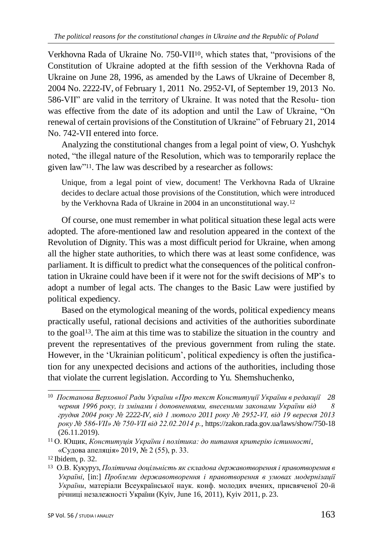Verkhovna Rada of Ukraine No. 750-VII10, which states that, "provisions of the Constitution of Ukraine adopted at the fifth session of the Verkhovna Rada of Ukraine on June 28, 1996, as amended by the Laws of Ukraine of December 8, 2004 No. 2222-IV, of February 1, 2011 No. 2952-VI, of September 19, 2013 No. 586-VII" are valid in the territory of Ukraine. It was noted that the Resolu- tion was effective from the date of its adoption and until the Law of Ukraine, "On renewal of certain provisions of the Constitution of Ukraine" of February 21, 2014 No. 742-VII entered into force.

Analyzing the constitutional changes from a legal point of view, O. Yushchyk noted, "the illegal nature of the Resolution, which was to temporarily replace the given law"11. The law was described by a researcher as follows:

Unique, from a legal point of view, document! The Verkhovna Rada of Ukraine decides to declare actual those provisions of the Constitution, which were introduced by the Verkhovna Rada of Ukraine in 2004 in an unconstitutional way.<sup>12</sup>

Of course, one must remember in what political situation these legal acts were adopted. The afore-mentioned law and resolution appeared in the context of the Revolution of Dignity. This was a most difficult period for Ukraine, when among all the higher state authorities, to which there was at least some confidence, was parliament. It is difficult to predict what the consequences of the political confrontation in Ukraine could have been if it were not for the swift decisions of MP's to adopt a number of legal acts. The changes to the Basic Law were justified by political expediency.

Based on the etymological meaning of the words, political expediency means practically useful, rational decisions and activities of the authorities subordinate to the goal13. The aim at this time was to stabilize the situation in the country and prevent the representatives of the previous government from ruling the state. However, in the 'Ukrainian politicum', political expediency is often the justification for any unexpected decisions and actions of the authorities, including those that violate the current legislation. According to Yu. Shemshuchenko,

<sup>10</sup>*Постанова Верховної Ради України «Про текст Конституції України в редакції 28 червня 1996 року, із змінами і доповненнями, внесеними законами України від 8 грудня 2004 року № 2222-IV, від 1 лютого 2011 року № 2952-VI, від 19 вересня 2013 року № 586-VII» № 750-VII від 22.02.2014 р.*, https://zakon.rada.gov.ua/laws/show/750-18 (26.11.2019).

<sup>11</sup>О. Ющик, *Конституція України і політика: до питання критерію істинності*, «Судова апеляція» 2019, № 2 (55), p. 33.

<sup>&</sup>lt;sup>12</sup> Ibidem, p. 32.

<sup>13</sup>О.В. Кукуруз, *Політична доцільність як складова державотворення і правотворення в Україні*, [in:] *Проблеми державотворення і правотворення в умовах модернізації України*, матеріали Всеукраїнської наук. конф. молодих вчених, присвяченої 20-й річниці незалежності України (Kyiv, June 16, 2011), Kyiv 2011, p. 23.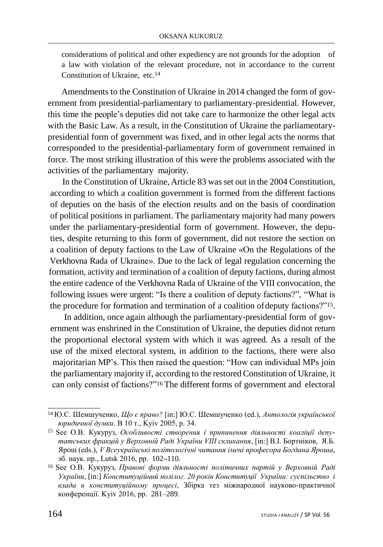considerations of political and other expediency are not grounds for the adoption of a law with violation of the relevant procedure, not in accordance to the current Constitution of Ukraine, etc.<sup>14</sup>

Amendments to the Constitution of Ukraine in 2014 changed the form of government from presidential-parliamentary to parliamentary-presidential. However, this time the people's deputies did not take care to harmonize the other legal acts with the Basic Law. As a result, in the Constitution of Ukraine the parliamentarypresidential form of government was fixed, and in other legal acts the norms that corresponded to the presidential-parliamentary form of government remained in force. The most striking illustration of this were the problems associated with the activities of the parliamentary majority.

In the Constitution of Ukraine, Article 83 was set out in the 2004 Constitution, according to which a coalition government is formed from the different factions of deputies on the basis of the election results and on the basis of coordination of political positions in parliament. The parliamentary majority had many powers under the parliamentary-presidential form of government. However, the deputies, despite returning to this form of government, did not restore the section on a coalition of deputy factions to the Law of Ukraine «On the Regulations of the Verkhovna Rada of Ukraine». Due to the lack of legal regulation concerning the formation, activity and termination of a coalition of deputy factions, during almost the entire cadence of the Verkhovna Rada of Ukraine of the VIII convocation, the following issues were urgent: "Is there a coalition of deputy factions?", "What is the procedure for formation and termination of a coalition ofdeputy factions?"15.

In addition, once again although the parliamentary-presidential form of government was enshrined in the Constitution of Ukraine, the deputies didnot return the proportional electoral system with which it was agreed. As a result of the use of the mixed electoral system, in addition to the factions, there were also majoritarian MP's. This then raised the question: "How can individual MPs join the parliamentary majority if, according to the restored Constitution of Ukraine, it can only consist of factions?"16 The different forms of government and electoral

<sup>14</sup>Ю.С. Шемшученко, *Що є право?* [in:] Ю.С. Шемшученко (ed.), *Антологія української юридичної думки*. В 10 т., Kyiv 2005, p. 34.

<sup>15</sup> See О.В. Кукуруз, *Особливості створення і припинення діяльності коаліції депутатських фракцій у Верховній Раді України VIII скликання*, [in:] В.І. Бортніков, Я.Б. Ярош (eds.), *V Всеукраїнські політологічні читання імені професора Богдана Яроша*, зб. наук. пр., Lutsk 2016, pp. 102**–**110.

<sup>16</sup>See О.В. Кукуруз, *Правові форми діяльності політичних партій у Верховній Раді України*, [in:] *Конституційний полілог. 20 років Конституції України: суспільство і влада в конституційному процесі*, Збірка тез міжнародної науково-практичної конференції. Kyiv 2016, pp. 281–289.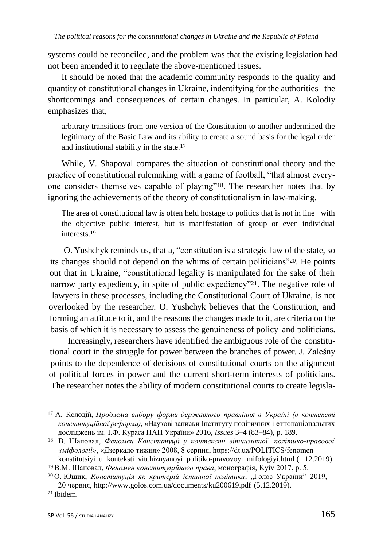systems could be reconciled, and the problem was that the existing legislation had not been amended it to regulate the above-mentioned issues.

It should be noted that the academic community responds to the quality and quantity of constitutional changes in Ukraine, indentifying for the authorities the shortcomings and consequences of certain changes. In particular, A. Kolodiy emphasizes that,

arbitrary transitions from one version of the Constitution to another undermined the legitimacy of the Basic Law and its ability to create a sound basis for the legal order and institutional stability in the state.<sup>17</sup>

While, V. Shapoval compares the situation of constitutional theory and the practice of constitutional rulemaking with a game of football, "that almost everyone considers themselves capable of playing"18. The researcher notes that by ignoring the achievements of the theory of constitutionalism in law-making.

The area of constitutional law is often held hostage to politics that is not in line with the objective public interest, but is manifestation of group or even individual interests.<sup>19</sup>

O. Yushchyk reminds us, that a, "constitution is a strategic law of the state, so its changes should not depend on the whims of certain politicians"20. He points out that in Ukraine, "constitutional legality is manipulated for the sake of their narrow party expediency, in spite of public expediency"<sup>21</sup>. The negative role of lawyers in these processes, including the Constitutional Court of Ukraine, is not overlooked by the researcher. O. Yushchyk believes that the Constitution, and forming an attitude to it, and the reasons the changes made to it, are criteria on the basis of which it is necessary to assess the genuineness of policy and politicians.

Increasingly, researchers have identified the ambiguous role of the constitutional court in the struggle for power between the branches of power. J. Zaleśny points to the dependence of decisions of constitutional courts on the alignment of political forces in power and the current short-term interests of politicians. The researcher notes the ability of modern constitutional courts to create legisla-

<sup>17</sup>А. Колодій, *Проблема вибору форми державного правління в Україні (в контексті конституційної реформи)*, «Наукові записки Інституту політичних і етнонаціональних досліджень ім. І.Ф. Кураса НАН України» 2016, *Issues* 3–4 (83–84), p. 189.

<sup>18</sup>В. Шаповал, *Феномен Конституції у контексті вітчизняної політико-правової «міфології»*, «Дзеркало тижня» 2008, 8 серпня, https://dt.ua/POLITICS/fenomen\_

konstitutsiyi\_u\_konteksti\_vitchiznyanoyi\_politiko-pravovoyi\_mifologiyi.html (1.12.2019). <sup>19</sup>В.М. Шаповал, *Феномен конституційного права*, монографія, Kyiv 2017, p. 5.

<sup>&</sup>lt;sup>20</sup> О. Ющик, Конституція як критерій істинної політики, "Голос України" 2019,

<sup>20</sup> червня[, http://www.golos.com.ua/documents/ku200619.pdf](http://www.golos.com.ua/documents/ku200619.pdf) (5.12.2019).

<sup>21</sup>Ibidem.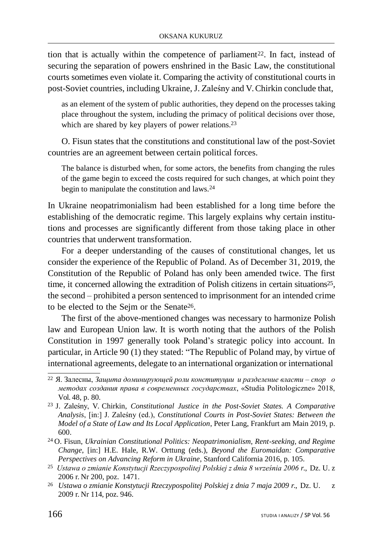tion that is actually within the competence of parliament<sup>22</sup>. In fact, instead of securing the separation of powers enshrined in the Basic Law, the constitutional courts sometimes even violate it. Comparing the activity of constitutional courts in post-Soviet countries, including Ukraine, J. Zaleśny and V.Chirkin conclude that,

as an element of the system of public authorities, they depend on the processes taking place throughout the system, including the primacy of political decisions over those, which are shared by key players of power relations.<sup>23</sup>

O. Fisun states that the constitutions and constitutional law of the post-Soviet countries are an agreement between certain political forces.

The balance is disturbed when, for some actors, the benefits from changing the rules of the game begin to exceed the costs required for such changes, at which point they begin to manipulate the constitution and laws.<sup>24</sup>

In Ukraine neopatrimonialism had been established for a long time before the establishing of the democratic regime. This largely explains why certain institutions and processes are significantly different from those taking place in other countries that underwent transformation.

For a deeper understanding of the causes of constitutional changes, let us consider the experience of the Republic of Poland. As of December 31, 2019, the Constitution of the Republic of Poland has only been amended twice. The first time, it concerned allowing the extradition of Polish citizens in certain situations25, the second *–* prohibited a person sentenced to imprisonment for an intended crime to be elected to the Sejm or the Senate26.

The first of the above-mentioned changes was necessary to harmonize Polish law and European Union law. It is worth noting that the authors of the Polish Constitution in 1997 generally took Poland's strategic policy into account. In particular, in Article 90 (1) they stated: "The Republic of Poland may, by virtue of international agreements, delegate to an international organization or international

<sup>22</sup>Я. Залесны, *Защита доминирующей роли конституции и разделение власти – спор о методах создания права в современных государствах*, «Studia Politologiczne» 2018, Vol. 48, p. 80.

<sup>23</sup>J. Zaleśny, V. Chirkin, *Constitutional Justice in the Post-Soviet States. A Comparative Analysis*, [in:] J. Zaleśny (ed.), *Constitutional Courts in Post-Soviet States: Between the Model of a State of Law and Its Local Application*, Peter Lang, Frankfurt am Main 2019, p. 600.

<sup>24</sup>O. Fisun, *Ukrainian Constitutional Politics: Neopatrimonialism, Rent-seeking, and Regime Change*, [in:] H.E. Hale, R.W. Orttung (eds.), *Beyond the Euromaidan: Comparative Perspectives on Advancing Reform in Ukraine*, Stanford California 2016, p. 105.

<sup>25</sup>*Ustawa o zmianie Konstytucji Rzeczypospolitej Polskiej z dnia 8 września 2006 r.*, Dz. U. z 2006 r. Nr 200, poz. 1471.

<sup>26</sup>*Ustawa o zmianie Konstytucji Rzeczypospolitej Polskiej z dnia 7 maja 2009 r.*, Dz. U. z 2009 r. Nr 114, poz. 946.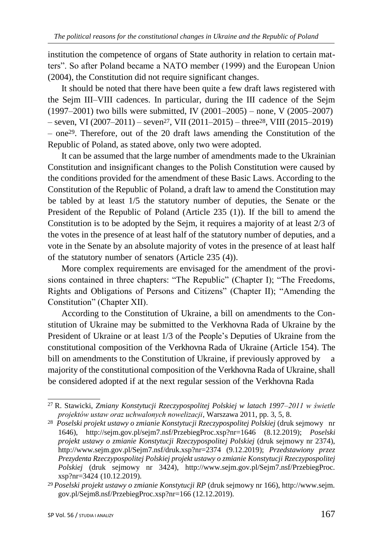institution the competence of organs of State authority in relation to certain matters". So after Poland became a NATO member (1999) and the European Union (2004), the Constitution did not require significant changes.

It should be noted that there have been quite a few draft laws registered with the Sejm III*–*VIII cadences. In particular, during the III cadence of the Sejm (1997*–*2001) two bills were submitted, IV (2001–2005) – none, V (2005–2007)  $-$  seven, VI (2007–2011) – seven<sup>27</sup>, VII (2011–2015) – three<sup>28</sup>, VIII (2015–2019) – one29. Therefore, out of the 20 draft laws amending the Constitution of the Republic of Poland, as stated above, only two were adopted.

It can be assumed that the large number of amendments made to the Ukrainian Constitution and insignificant changes to the Polish Constitution were caused by the conditions provided for the amendment of these Basic Laws. According to the Constitution of the Republic of Poland, a draft law to amend the Constitution may be tabled by at least 1/5 the statutory number of deputies, the Senate or the President of the Republic of Poland (Article 235 (1)). If the bill to amend the Constitution is to be adopted by the Sejm, it requires a majority of at least 2/3 of the votes in the presence of at least half of the statutory number of deputies, and a vote in the Senate by an absolute majority of votes in the presence of at least half of the statutory number of senators (Article 235 (4)).

More complex requirements are envisaged for the amendment of the provisions contained in three chapters: "The Republic" (Chapter I); "The Freedoms, Rights and Obligations of Persons and Citizens" (Chapter II); "Amending the Constitution" (Chapter XII).

According to the Constitution of Ukraine, a bill on amendments to the Constitution of Ukraine may be submitted to the Verkhovna Rada of Ukraine by the President of Ukraine or at least 1/3 of the People's Deputies of Ukraine from the constitutional composition of the Verkhovna Rada of Ukraine (Article 154). The bill on amendments to the Constitution of Ukraine, if previously approved by majority of the constitutional composition of the Verkhovna Rada of Ukraine, shall be considered adopted if at the next regular session of the Verkhovna Rada

<sup>27</sup>R. Stawicki, *Zmiany Konstytucji Rzeczypospolitej Polskiej w latach 1997–2011 w świetle projektów ustaw oraz uchwalonych nowelizacji*, Warszawa 2011, pp. 3, 5, 8.

<sup>28</sup>*Poselski projekt ustawy o zmianie Konstytucji Rzeczypospolitej Polskiej* (druk sejmowy nr 1646), <http://sejm.gov.pl/sejm7.nsf/PrzebiegProc.xsp?nr=1646> (8.12.2019); *Poselski projekt ustawy o zmianie Konstytucji Rzeczypospolitej Polskiej* (druk sejmowy nr 2374), <http://www.sejm.gov.pl/Sejm7.nsf/druk.xsp?nr=2374> (9.12.2019); *Przedstawiony przez Prezydenta Rzeczypospolitej Polskiej projekt ustawy o zmianie Konstytucji Rzeczypospolitej Polskiej* (druk sejmowy nr 3424), [http://www.sejm.gov.pl/Sejm7.nsf/PrzebiegProc.](http://www.sejm.gov.pl/Sejm7.nsf/PrzebiegProc) xsp?nr=3424 (10.12.2019).

<sup>29</sup>*Poselski projekt ustawy o zmianie Konstytucji RP* (druk sejmowy nr 166), http://www.sejm. gov.pl/Sejm8.nsf/PrzebiegProc.xsp?nr=166 (12.12.2019).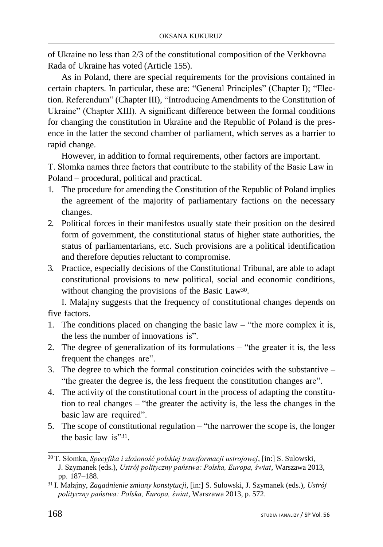of Ukraine no less than 2/3 of the constitutional composition of the Verkhovna Rada of Ukraine has voted (Article 155).

As in Poland, there are special requirements for the provisions contained in certain chapters. In particular, these are: "General Principles" (Chapter I); "Election. Referendum" (Chapter III), "Introducing Amendments to the Constitution of Ukraine" (Chapter XIII). A significant difference between the formal conditions for changing the constitution in Ukraine and the Republic of Poland is the presence in the latter the second chamber of parliament, which serves as a barrier to rapid change.

However, in addition to formal requirements, other factors are important.

T. Słomka names three factors that contribute to the stability of the Basic Law in Poland – procedural, political and practical.

- 1. The procedure for amending the Constitution of the Republic of Poland implies the agreement of the majority of parliamentary factions on the necessary changes.
- 2. Political forces in their manifestos usually state their position on the desired form of government, the constitutional status of higher state authorities, the status of parliamentarians, etc. Such provisions are a political identification and therefore deputies reluctant to compromise.
- 3. Practice, especially decisions of the Constitutional Tribunal, are able to adapt constitutional provisions to new political, social and economic conditions, without changing the provisions of the Basic Law<sup>30</sup>.

I. Malajny suggests that the frequency of constitutional changes depends on five factors.

- 1. The conditions placed on changing the basic law "the more complex it is, the less the number of innovations is".
- 2. The degree of generalization of its formulations "the greater it is, the less frequent the changes are".
- 3. The degree to which the formal constitution coincides with the substantive "the greater the degree is, the less frequent the constitution changes are".
- 4. The activity of the constitutional court in the process of adapting the constitution to real changes – "the greater the activity is, the less the changes in the basic law are required".
- 5. The scope of constitutional regulation "the narrower the scope is, the longer the basic law is"31.

<sup>30</sup>T. Słomka, *Specyfika i złożoność polskiej transformacji ustrojowej*, [in:] S. Sulowski, J. Szymanek (eds.), *Ustrój polityczny państwa: Polska, Europa, świat*, Warszawa 2013, pp. 187–188.

<sup>31</sup>I. Małajny, *Zagadnienie zmiany konstytucji*, [in:] S. Sulowski, J. Szymanek (eds.), *Ustrój polityczny państwa: Polska, Europa, świat*, Warszawa 2013, p. 572.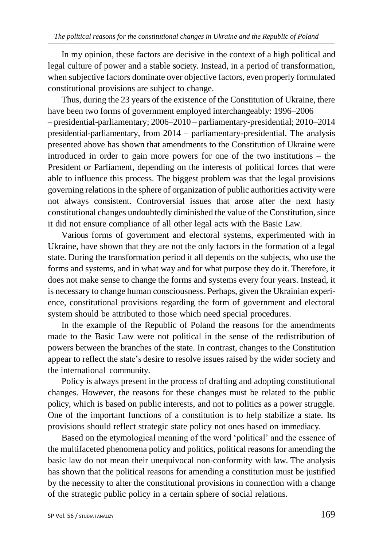In my opinion, these factors are decisive in the context of a high political and legal culture of power and a stable society. Instead, in a period of transformation, when subjective factors dominate over objective factors, even properly formulated constitutional provisions are subject to change.

Thus, during the 23 years of the existence of the Constitution of Ukraine, there have been two forms of government employed interchangeably: 1996–2006 – presidential-parliamentary; 2006–2010 – parliamentary-presidential; 2010–2014 presidential-parliamentary, from 2014 – parliamentary-presidential. The analysis presented above has shown that amendments to the Constitution of Ukraine were introduced in order to gain more powers for one of the two institutions – the President or Parliament, depending on the interests of political forces that were able to influence this process. The biggest problem was that the legal provisions governing relations in the sphere of organization of public authorities activity were not always consistent. Controversial issues that arose after the next hasty constitutional changes undoubtedly diminished the value of the Constitution, since it did not ensure compliance of all other legal acts with the Basic Law.

Various forms of government and electoral systems, experimented with in Ukraine, have shown that they are not the only factors in the formation of a legal state. During the transformation period it all depends on the subjects, who use the forms and systems, and in what way and for what purpose they do it. Therefore, it does not make sense to change the forms and systems every four years. Instead, it is necessary to change human consciousness. Perhaps, given the Ukrainian experience, constitutional provisions regarding the form of government and electoral system should be attributed to those which need special procedures.

In the example of the Republic of Poland the reasons for the amendments made to the Basic Law were not political in the sense of the redistribution of powers between the branches of the state. In contrast, changes to the Constitution appear to reflect the state's desire to resolve issues raised by the wider society and the international community.

Policy is always present in the process of drafting and adopting constitutional changes. However, the reasons for these changes must be related to the public policy, which is based on public interests, and not to politics as a power struggle. One of the important functions of a constitution is to help stabilize a state. Its provisions should reflect strategic state policy not ones based on immediacy.

Based on the etymological meaning of the word 'political' and the essence of the multifaceted phenomena policy and politics, political reasons for amending the basic law do not mean their unequivocal non-conformity with law. The analysis has shown that the political reasons for amending a constitution must be justified by the necessity to alter the constitutional provisions in connection with a change of the strategic public policy in a certain sphere of social relations.